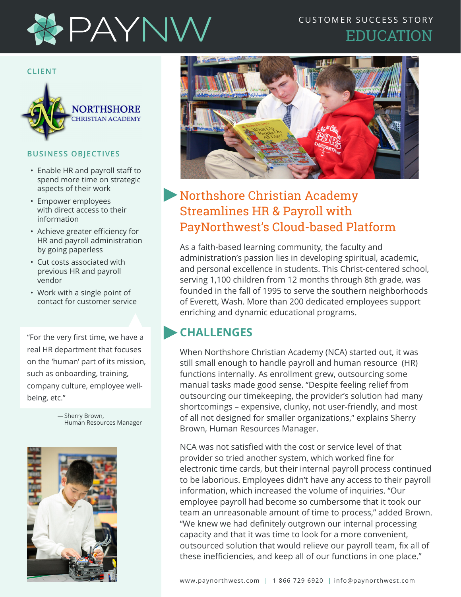

### CUSTOMER SUCCESS STORY EDUCATION

#### **CLIENT**



#### **BUSINESS OBJECTIVES**

- Enable HR and payroll staff to spend more time on strategic aspects of their work
- Empower employees with direct access to their information
- Achieve greater efficiency for HR and payroll administration by going paperless
- Cut costs associated with previous HR and payroll vendor
- Work with a single point of contact for customer service

"For the very first time, we have a real HR department that focuses on the 'human' part of its mission, such as onboarding, training, company culture, employee wellbeing, etc."

> — Sherry Brown, Human Resources Manager





# Northshore Christian Academy Streamlines HR & Payroll with PayNorthwest's Cloud-based Platform

As a faith-based learning community, the faculty and administration's passion lies in developing spiritual, academic, and personal excellence in students. This Christ-centered school, serving 1,100 children from 12 months through 8th grade, was founded in the fall of 1995 to serve the southern neighborhoods of Everett, Wash. More than 200 dedicated employees support enriching and dynamic educational programs.

### **CHALLENGES**

When Northshore Christian Academy (NCA) started out, it was still small enough to handle payroll and human resource (HR) functions internally. As enrollment grew, outsourcing some manual tasks made good sense. "Despite feeling relief from outsourcing our timekeeping, the provider's solution had many shortcomings – expensive, clunky, not user-friendly, and most of all not designed for smaller organizations," explains Sherry Brown, Human Resources Manager.

NCA was not satisfied with the cost or service level of that provider so tried another system, which worked fine for electronic time cards, but their internal payroll process continued to be laborious. Employees didn't have any access to their payroll information, which increased the volume of inquiries. "Our employee payroll had become so cumbersome that it took our team an unreasonable amount of time to process," added Brown. "We knew we had definitely outgrown our internal processing capacity and that it was time to look for a more convenient, outsourced solution that would relieve our payroll team, fix all of these inefficiencies, and keep all of our functions in one place."